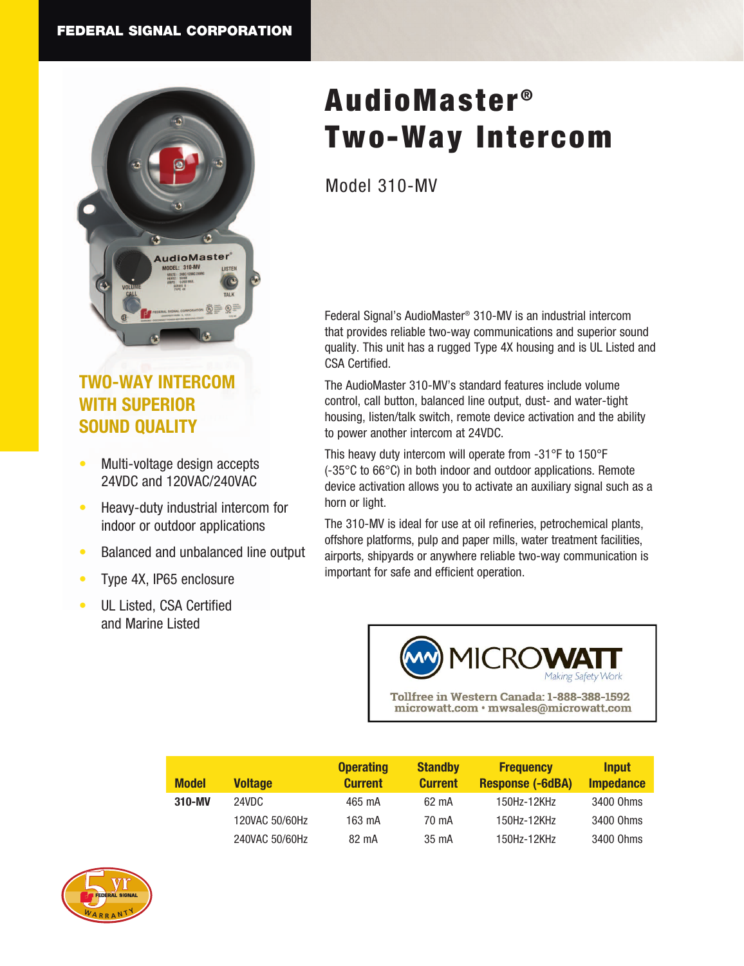

## **TWO-WAY INTERCOM WITH SUPERIOR SOUND QUALITY**

- Multi-voltage design accepts 24VDC and 120VAC/240VAC
- Heavy-duty industrial intercom for indoor or outdoor applications
- Balanced and unbalanced line output
- Type 4X, IP65 enclosure
- UL Listed, CSA Certified and Marine Listed

# AudioMaster<sup>®</sup> Two-Way Intercom

Model 310-MV

Federal Signal's AudioMaster® 310-MV is an industrial intercom that provides reliable two-way communications and superior sound quality. This unit has a rugged Type 4X housing and is UL Listed and CSA Certified.

The AudioMaster 310-MV's standard features include volume control, call button, balanced line output, dust- and water-tight housing, listen/talk switch, remote device activation and the ability to power another intercom at 24VDC.

This heavy duty intercom will operate from -31°F to 150°F (-35°C to 66°C) in both indoor and outdoor applications. Remote device activation allows you to activate an auxiliary signal such as a horn or light.

The 310-MV is ideal for use at oil refineries, petrochemical plants, offshore platforms, pulp and paper mills, water treatment facilities, airports, shipyards or anywhere reliable two-way communication is important for safe and efficient operation.



Tollfree in Western Canada: 1-888-388-1592 microwatt.com · mwsales@microwatt.com

| <b>Model</b> | <b>Voltage</b> | <b>Operating</b><br><b>Current</b> | <b>Standby</b><br><b>Current</b> | <b>Frequency</b><br><b>Response (-6dBA)</b> | <b>Input</b><br><b>Impedance</b> |
|--------------|----------------|------------------------------------|----------------------------------|---------------------------------------------|----------------------------------|
| 310-MV       | 24VDC          | 465 mA                             | 62 mA                            | 150Hz-12KHz                                 | 3400 Ohms                        |
|              | 120VAC 50/60Hz | 163 mA                             | 70 mA                            | 150Hz-12KHz                                 | 3400 Ohms                        |
|              | 240VAC 50/60Hz | 82 mA                              | 35 mA                            | 150Hz-12KHz                                 | 3400 Ohms                        |